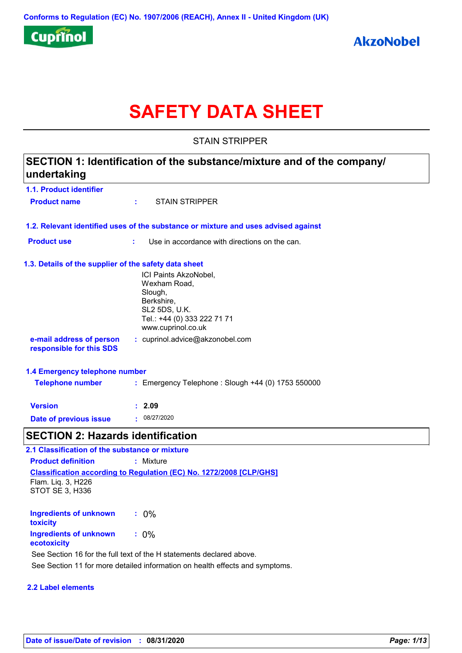

# **SAFETY DATA SHEET**

STAIN STRIPPER

# **1.1. Product identifier 1.3. Details of the supplier of the safety data sheet 1.2. Relevant identified uses of the substance or mixture and uses advised against SECTION 1: Identification of the substance/mixture and of the company/ undertaking Date of previous issue :** 08/27/2020 ICI Paints AkzoNobel, Wexham Road, Slough, Berkshire, SL2 5DS, U.K. Tel.: +44 (0) 333 222 71 71 www.cuprinol.co.uk **e-mail address of person responsible for this SDS :** cuprinol.advice@akzonobel.com **1.4 Emergency telephone number Version : 2.09 Product name :** STAIN STRIPPER **Product use <b>:** Use in accordance with directions on the can. **Telephone number :** Emergency Telephone : Slough +44 (0) 1753 550000 **SECTION 2: Hazards identification 2.1 Classification of the substance or mixture**

**Classification according to Regulation (EC) No. 1272/2008 [CLP/GHS] Product definition :** Mixture Flam. Liq. 3, H226 STOT SE 3, H336

**Ingredients of unknown toxicity :** 0% **Ingredients of unknown ecotoxicity :** 0% See Section 16 for the full text of the H statements declared above.

See Section 11 for more detailed information on health effects and symptoms.

# **2.2 Label elements**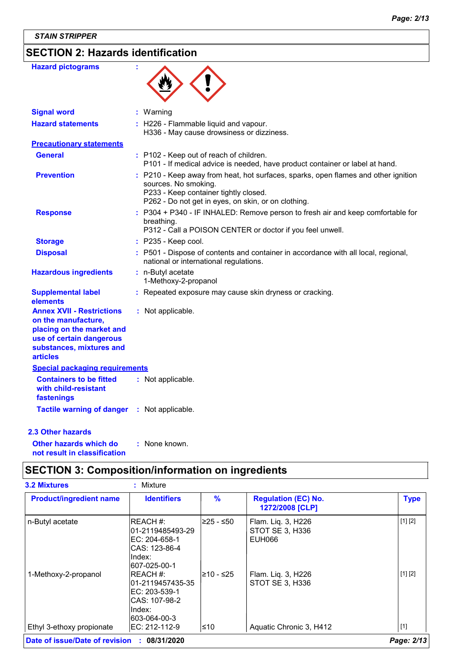# **SECTION 2: Hazards identification**

| <b>Hazard pictograms</b>                                                                                                                                        |                                                                                                                                                                                                            |
|-----------------------------------------------------------------------------------------------------------------------------------------------------------------|------------------------------------------------------------------------------------------------------------------------------------------------------------------------------------------------------------|
| <b>Signal word</b>                                                                                                                                              | : Warning                                                                                                                                                                                                  |
| <b>Hazard statements</b>                                                                                                                                        | : H226 - Flammable liquid and vapour.<br>H336 - May cause drowsiness or dizziness.                                                                                                                         |
| <b>Precautionary statements</b>                                                                                                                                 |                                                                                                                                                                                                            |
| General                                                                                                                                                         | : P102 - Keep out of reach of children.<br>P101 - If medical advice is needed, have product container or label at hand.                                                                                    |
| <b>Prevention</b>                                                                                                                                               | : P210 - Keep away from heat, hot surfaces, sparks, open flames and other ignition<br>sources. No smoking.<br>P233 - Keep container tightly closed.<br>P262 - Do not get in eyes, on skin, or on clothing. |
| <b>Response</b>                                                                                                                                                 | : P304 + P340 - IF INHALED: Remove person to fresh air and keep comfortable for<br>breathing.<br>P312 - Call a POISON CENTER or doctor if you feel unwell.                                                 |
| <b>Storage</b>                                                                                                                                                  | $:$ P235 - Keep cool.                                                                                                                                                                                      |
| <b>Disposal</b>                                                                                                                                                 | : P501 - Dispose of contents and container in accordance with all local, regional,<br>national or international regulations.                                                                               |
| <b>Hazardous ingredients</b>                                                                                                                                    | : n-Butyl acetate<br>1-Methoxy-2-propanol                                                                                                                                                                  |
| <b>Supplemental label</b><br>elements                                                                                                                           | : Repeated exposure may cause skin dryness or cracking.                                                                                                                                                    |
| <b>Annex XVII - Restrictions</b><br>on the manufacture,<br>placing on the market and<br>use of certain dangerous<br>substances, mixtures and<br><b>articles</b> | : Not applicable.                                                                                                                                                                                          |
| <b>Special packaging requirements</b>                                                                                                                           |                                                                                                                                                                                                            |
| <b>Containers to be fitted</b><br>with child-resistant<br>fastenings                                                                                            | : Not applicable.                                                                                                                                                                                          |
| <b>Tactile warning of danger</b>                                                                                                                                | : Not applicable.                                                                                                                                                                                          |
| 2.3 Other hazards                                                                                                                                               |                                                                                                                                                                                                            |

**Other hazards which do : not result in classification** : None known.

# **SECTION 3: Composition/information on ingredients**

| <b>3.2 Mixtures</b>                         | $:$ Mixture                                                                                    |               |                                                 |                     |
|---------------------------------------------|------------------------------------------------------------------------------------------------|---------------|-------------------------------------------------|---------------------|
| <b>Product/ingredient name</b>              | <b>Identifiers</b>                                                                             | $\frac{9}{6}$ | <b>Regulation (EC) No.</b><br>1272/2008 [CLP]   | <b>Type</b>         |
| n-Butyl acetate                             | IREACH #:<br>l01-2119485493-29<br>IEC: 204-658-1<br>ICAS: 123-86-4<br>lIndex:<br>l607-025-00-1 | l≥25 - ≤50∶   | Flam. Liq. 3, H226<br>STOT SE 3, H336<br>EUH066 | [1] [2]             |
| 1-Methoxy-2-propanol                        | IREACH #:<br>l01-2119457435-35<br>IEC: 203-539-1<br>ICAS: 107-98-2<br>lIndex:<br>l603-064-00-3 | l≥10 - ≤25    | Flam. Liq. 3, H226<br>STOT SE 3, H336           | [1] [2]             |
| Ethyl 3-ethoxy propionate                   | EC: 212-112-9                                                                                  | l≤10          | Aquatic Chronic 3, H412                         | $\lfloor 1 \rfloor$ |
| Date of issue/Date of revision : 08/31/2020 |                                                                                                |               |                                                 | Page: 2/13          |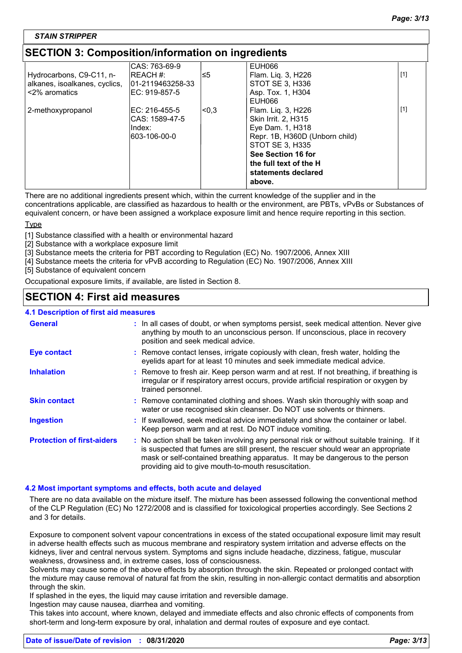# **SECTION 3: Composition/information on ingredients**

|                               | ICAS: 763-69-9   |       | EUH066                         |       |
|-------------------------------|------------------|-------|--------------------------------|-------|
| Hydrocarbons, C9-C11, n-      | <b>REACH #:</b>  | ו≥∃   | Flam. Lig. 3, H226             | $[1]$ |
| alkanes, isoalkanes, cyclics, | 01-2119463258-33 |       | STOT SE 3, H336                |       |
| <2% aromatics                 | IEC: 919-857-5   |       | Asp. Tox. 1, H304              |       |
|                               |                  |       | EUH066                         |       |
| 2-methoxypropanol             | IEC: 216-455-5   | l<0.3 | Flam. Lig. 3, H226             | $[1]$ |
|                               | ICAS: 1589-47-5  |       | Skin Irrit. 2, H315            |       |
|                               | IIndex:          |       | Eye Dam. 1, H318               |       |
|                               | 603-106-00-0     |       | Repr. 1B, H360D (Unborn child) |       |
|                               |                  |       | STOT SE 3, H335                |       |
|                               |                  |       | See Section 16 for             |       |
|                               |                  |       | the full text of the H         |       |
|                               |                  |       | statements declared            |       |
|                               |                  |       | above.                         |       |
|                               |                  |       |                                |       |

There are no additional ingredients present which, within the current knowledge of the supplier and in the

concentrations applicable, are classified as hazardous to health or the environment, are PBTs, vPvBs or Substances of equivalent concern, or have been assigned a workplace exposure limit and hence require reporting in this section.

### Type

[1] Substance classified with a health or environmental hazard

[2] Substance with a workplace exposure limit

[3] Substance meets the criteria for PBT according to Regulation (EC) No. 1907/2006, Annex XIII

[4] Substance meets the criteria for vPvB according to Regulation (EC) No. 1907/2006, Annex XIII

[5] Substance of equivalent concern

Occupational exposure limits, if available, are listed in Section 8.

# **SECTION 4: First aid measures**

### **4.1 Description of first aid measures**

| <b>General</b>                    | : In all cases of doubt, or when symptoms persist, seek medical attention. Never give<br>anything by mouth to an unconscious person. If unconscious, place in recovery<br>position and seek medical advice.                                                                                                             |
|-----------------------------------|-------------------------------------------------------------------------------------------------------------------------------------------------------------------------------------------------------------------------------------------------------------------------------------------------------------------------|
| <b>Eye contact</b>                | : Remove contact lenses, irrigate copiously with clean, fresh water, holding the<br>eyelids apart for at least 10 minutes and seek immediate medical advice.                                                                                                                                                            |
| <b>Inhalation</b>                 | : Remove to fresh air. Keep person warm and at rest. If not breathing, if breathing is<br>irregular or if respiratory arrest occurs, provide artificial respiration or oxygen by<br>trained personnel.                                                                                                                  |
| <b>Skin contact</b>               | : Remove contaminated clothing and shoes. Wash skin thoroughly with soap and<br>water or use recognised skin cleanser. Do NOT use solvents or thinners.                                                                                                                                                                 |
| <b>Ingestion</b>                  | : If swallowed, seek medical advice immediately and show the container or label.<br>Keep person warm and at rest. Do NOT induce vomiting.                                                                                                                                                                               |
| <b>Protection of first-aiders</b> | : No action shall be taken involving any personal risk or without suitable training. If it<br>is suspected that fumes are still present, the rescuer should wear an appropriate<br>mask or self-contained breathing apparatus. It may be dangerous to the person<br>providing aid to give mouth-to-mouth resuscitation. |

### **4.2 Most important symptoms and effects, both acute and delayed**

There are no data available on the mixture itself. The mixture has been assessed following the conventional method of the CLP Regulation (EC) No 1272/2008 and is classified for toxicological properties accordingly. See Sections 2 and 3 for details.

Exposure to component solvent vapour concentrations in excess of the stated occupational exposure limit may result in adverse health effects such as mucous membrane and respiratory system irritation and adverse effects on the kidneys, liver and central nervous system. Symptoms and signs include headache, dizziness, fatigue, muscular weakness, drowsiness and, in extreme cases, loss of consciousness.

Solvents may cause some of the above effects by absorption through the skin. Repeated or prolonged contact with the mixture may cause removal of natural fat from the skin, resulting in non-allergic contact dermatitis and absorption through the skin.

If splashed in the eyes, the liquid may cause irritation and reversible damage.

Ingestion may cause nausea, diarrhea and vomiting.

This takes into account, where known, delayed and immediate effects and also chronic effects of components from short-term and long-term exposure by oral, inhalation and dermal routes of exposure and eye contact.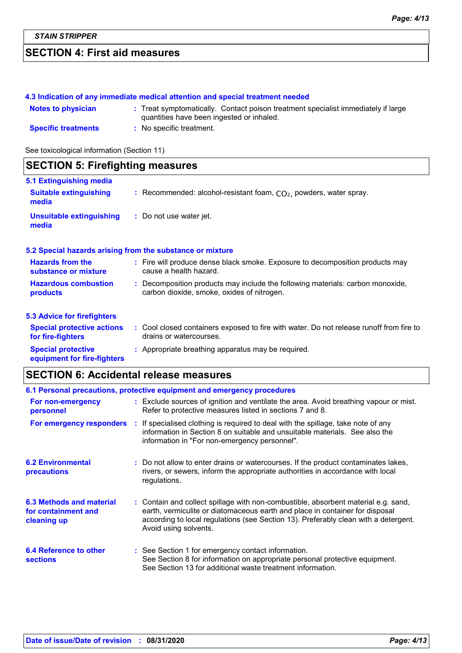# **SECTION 4: First aid measures**

### **4.3 Indication of any immediate medical attention and special treatment needed**

| <b>Notes to physician</b>  | : Treat symptomatically. Contact poison treatment specialist immediately if large<br>quantities have been ingested or inhaled. |
|----------------------------|--------------------------------------------------------------------------------------------------------------------------------|
| <b>Specific treatments</b> | : No specific treatment.                                                                                                       |

See toxicological information (Section 11)

# **SECTION 5: Firefighting measures**

| 5.1 Extinguishing media                                  |                                                                                                                              |
|----------------------------------------------------------|------------------------------------------------------------------------------------------------------------------------------|
| <b>Suitable extinguishing</b><br>media                   | : Recommended: alcohol-resistant foam, $CO2$ , powders, water spray.                                                         |
| <b>Unsuitable extinguishing</b><br>media                 | : Do not use water jet.                                                                                                      |
|                                                          | 5.2 Special hazards arising from the substance or mixture                                                                    |
| <b>Hazards from the</b><br>substance or mixture          | : Fire will produce dense black smoke. Exposure to decomposition products may<br>cause a health hazard.                      |
| <b>Hazardous combustion</b><br>products                  | : Decomposition products may include the following materials: carbon monoxide,<br>carbon dioxide, smoke, oxides of nitrogen. |
| <b>5.3 Advice for firefighters</b>                       |                                                                                                                              |
| <b>Special protective actions</b><br>for fire-fighters   | : Cool closed containers exposed to fire with water. Do not release runoff from fire to<br>drains or watercourses.           |
| <b>Special protective</b><br>equipment for fire-fighters | : Appropriate breathing apparatus may be required.                                                                           |

# **SECTION 6: Accidental release measures**

| 6.1 Personal precautions, protective equipment and emergency procedures |  |                                                                                                                                                                                                                                                                                    |  |
|-------------------------------------------------------------------------|--|------------------------------------------------------------------------------------------------------------------------------------------------------------------------------------------------------------------------------------------------------------------------------------|--|
| For non-emergency<br>personnel                                          |  | : Exclude sources of ignition and ventilate the area. Avoid breathing vapour or mist.<br>Refer to protective measures listed in sections 7 and 8.                                                                                                                                  |  |
| For emergency responders                                                |  | : If specialised clothing is required to deal with the spillage, take note of any<br>information in Section 8 on suitable and unsuitable materials. See also the<br>information in "For non-emergency personnel".                                                                  |  |
| <b>6.2 Environmental</b><br>precautions                                 |  | : Do not allow to enter drains or watercourses. If the product contaminates lakes,<br>rivers, or sewers, inform the appropriate authorities in accordance with local<br>regulations.                                                                                               |  |
| 6.3 Methods and material<br>for containment and<br>cleaning up          |  | : Contain and collect spillage with non-combustible, absorbent material e.g. sand,<br>earth, vermiculite or diatomaceous earth and place in container for disposal<br>according to local regulations (see Section 13). Preferably clean with a detergent.<br>Avoid using solvents. |  |
| 6.4 Reference to other<br><b>sections</b>                               |  | : See Section 1 for emergency contact information.<br>See Section 8 for information on appropriate personal protective equipment.<br>See Section 13 for additional waste treatment information.                                                                                    |  |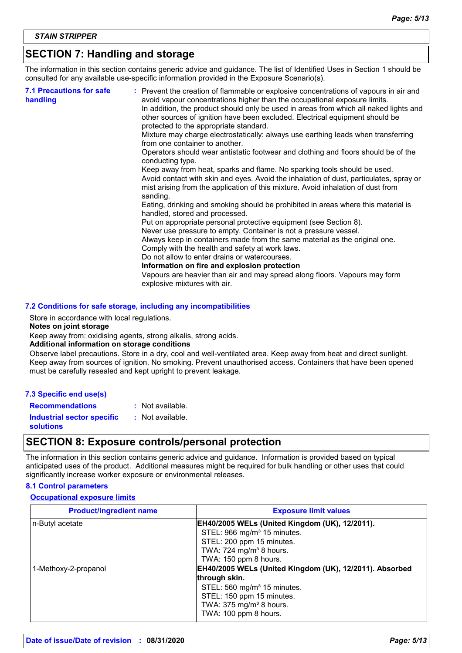# **SECTION 7: Handling and storage**

The information in this section contains generic advice and guidance. The list of Identified Uses in Section 1 should be consulted for any available use-specific information provided in the Exposure Scenario(s).

| <b>7.1 Precautions for safe</b><br>handling | : Prevent the creation of flammable or explosive concentrations of vapours in air and<br>avoid vapour concentrations higher than the occupational exposure limits.<br>In addition, the product should only be used in areas from which all naked lights and<br>other sources of ignition have been excluded. Electrical equipment should be<br>protected to the appropriate standard.<br>Mixture may charge electrostatically: always use earthing leads when transferring<br>from one container to another.<br>Operators should wear antistatic footwear and clothing and floors should be of the<br>conducting type.<br>Keep away from heat, sparks and flame. No sparking tools should be used.<br>Avoid contact with skin and eyes. Avoid the inhalation of dust, particulates, spray or<br>mist arising from the application of this mixture. Avoid inhalation of dust from<br>sanding.<br>Eating, drinking and smoking should be prohibited in areas where this material is<br>handled, stored and processed.<br>Put on appropriate personal protective equipment (see Section 8).<br>Never use pressure to empty. Container is not a pressure vessel.<br>Always keep in containers made from the same material as the original one.<br>Comply with the health and safety at work laws.<br>Do not allow to enter drains or watercourses.<br>Information on fire and explosion protection<br>Vapours are heavier than air and may spread along floors. Vapours may form |
|---------------------------------------------|------------------------------------------------------------------------------------------------------------------------------------------------------------------------------------------------------------------------------------------------------------------------------------------------------------------------------------------------------------------------------------------------------------------------------------------------------------------------------------------------------------------------------------------------------------------------------------------------------------------------------------------------------------------------------------------------------------------------------------------------------------------------------------------------------------------------------------------------------------------------------------------------------------------------------------------------------------------------------------------------------------------------------------------------------------------------------------------------------------------------------------------------------------------------------------------------------------------------------------------------------------------------------------------------------------------------------------------------------------------------------------------------------------------------------------------------------------------------------|
|                                             | explosive mixtures with air.                                                                                                                                                                                                                                                                                                                                                                                                                                                                                                                                                                                                                                                                                                                                                                                                                                                                                                                                                                                                                                                                                                                                                                                                                                                                                                                                                                                                                                                 |

#### **7.2 Conditions for safe storage, including any incompatibilities**

Store in accordance with local regulations.

#### **Notes on joint storage**

Keep away from: oxidising agents, strong alkalis, strong acids.

#### **Additional information on storage conditions**

Observe label precautions. Store in a dry, cool and well-ventilated area. Keep away from heat and direct sunlight. Keep away from sources of ignition. No smoking. Prevent unauthorised access. Containers that have been opened must be carefully resealed and kept upright to prevent leakage.

**Recommendations :** Not available.

**Industrial sector specific :**

: Not available.

**solutions**

# **SECTION 8: Exposure controls/personal protection**

The information in this section contains generic advice and guidance. Information is provided based on typical anticipated uses of the product. Additional measures might be required for bulk handling or other uses that could significantly increase worker exposure or environmental releases.

#### **8.1 Control parameters**

#### **Occupational exposure limits**

| <b>Product/ingredient name</b> | <b>Exposure limit values</b>                                                                                                                                  |
|--------------------------------|---------------------------------------------------------------------------------------------------------------------------------------------------------------|
| n-Butyl acetate                | EH40/2005 WELs (United Kingdom (UK), 12/2011).<br>STEL: 966 mg/m <sup>3</sup> 15 minutes.<br>STEL: 200 ppm 15 minutes.<br>TWA: 724 mg/m <sup>3</sup> 8 hours. |
| 1-Methoxy-2-propanol           | TWA: 150 ppm 8 hours.<br>EH40/2005 WELs (United Kingdom (UK), 12/2011). Absorbed<br>through skin.                                                             |
|                                | STEL: 560 mg/m <sup>3</sup> 15 minutes.<br>STEL: 150 ppm 15 minutes.<br>TWA: 375 mg/m <sup>3</sup> 8 hours.<br>TWA: 100 ppm 8 hours.                          |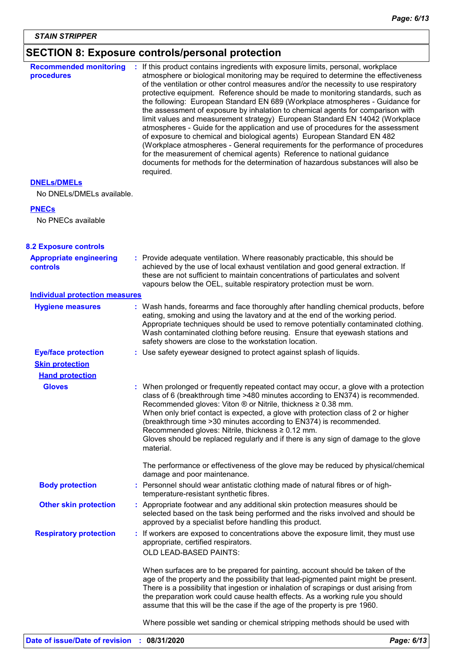# **SECTION 8: Exposure controls/personal protection**

| <b>Recommended monitoring</b><br>procedures       | If this product contains ingredients with exposure limits, personal, workplace<br>atmosphere or biological monitoring may be required to determine the effectiveness<br>of the ventilation or other control measures and/or the necessity to use respiratory<br>protective equipment. Reference should be made to monitoring standards, such as<br>the following: European Standard EN 689 (Workplace atmospheres - Guidance for<br>the assessment of exposure by inhalation to chemical agents for comparison with<br>limit values and measurement strategy) European Standard EN 14042 (Workplace<br>atmospheres - Guide for the application and use of procedures for the assessment<br>of exposure to chemical and biological agents) European Standard EN 482<br>(Workplace atmospheres - General requirements for the performance of procedures<br>for the measurement of chemical agents) Reference to national guidance<br>documents for methods for the determination of hazardous substances will also be<br>required. |
|---------------------------------------------------|----------------------------------------------------------------------------------------------------------------------------------------------------------------------------------------------------------------------------------------------------------------------------------------------------------------------------------------------------------------------------------------------------------------------------------------------------------------------------------------------------------------------------------------------------------------------------------------------------------------------------------------------------------------------------------------------------------------------------------------------------------------------------------------------------------------------------------------------------------------------------------------------------------------------------------------------------------------------------------------------------------------------------------|
| <b>DNELS/DMELS</b>                                |                                                                                                                                                                                                                                                                                                                                                                                                                                                                                                                                                                                                                                                                                                                                                                                                                                                                                                                                                                                                                                  |
| No DNELs/DMELs available.                         |                                                                                                                                                                                                                                                                                                                                                                                                                                                                                                                                                                                                                                                                                                                                                                                                                                                                                                                                                                                                                                  |
| <b>PNECs</b>                                      |                                                                                                                                                                                                                                                                                                                                                                                                                                                                                                                                                                                                                                                                                                                                                                                                                                                                                                                                                                                                                                  |
| No PNECs available                                |                                                                                                                                                                                                                                                                                                                                                                                                                                                                                                                                                                                                                                                                                                                                                                                                                                                                                                                                                                                                                                  |
| <b>8.2 Exposure controls</b>                      |                                                                                                                                                                                                                                                                                                                                                                                                                                                                                                                                                                                                                                                                                                                                                                                                                                                                                                                                                                                                                                  |
| <b>Appropriate engineering</b><br><b>controls</b> | : Provide adequate ventilation. Where reasonably practicable, this should be<br>achieved by the use of local exhaust ventilation and good general extraction. If<br>these are not sufficient to maintain concentrations of particulates and solvent<br>vapours below the OEL, suitable respiratory protection must be worn.                                                                                                                                                                                                                                                                                                                                                                                                                                                                                                                                                                                                                                                                                                      |
| <b>Individual protection measures</b>             |                                                                                                                                                                                                                                                                                                                                                                                                                                                                                                                                                                                                                                                                                                                                                                                                                                                                                                                                                                                                                                  |
| <b>Hygiene measures</b>                           | : Wash hands, forearms and face thoroughly after handling chemical products, before<br>eating, smoking and using the lavatory and at the end of the working period.<br>Appropriate techniques should be used to remove potentially contaminated clothing.<br>Wash contaminated clothing before reusing. Ensure that eyewash stations and<br>safety showers are close to the workstation location.                                                                                                                                                                                                                                                                                                                                                                                                                                                                                                                                                                                                                                |
| <b>Eye/face protection</b>                        | : Use safety eyewear designed to protect against splash of liquids.                                                                                                                                                                                                                                                                                                                                                                                                                                                                                                                                                                                                                                                                                                                                                                                                                                                                                                                                                              |
| <b>Skin protection</b>                            |                                                                                                                                                                                                                                                                                                                                                                                                                                                                                                                                                                                                                                                                                                                                                                                                                                                                                                                                                                                                                                  |
| <b>Hand protection</b>                            |                                                                                                                                                                                                                                                                                                                                                                                                                                                                                                                                                                                                                                                                                                                                                                                                                                                                                                                                                                                                                                  |
| <b>Gloves</b>                                     | : When prolonged or frequently repeated contact may occur, a glove with a protection<br>class of 6 (breakthrough time >480 minutes according to EN374) is recommended.<br>Recommended gloves: Viton $\otimes$ or Nitrile, thickness $\geq 0.38$ mm.<br>When only brief contact is expected, a glove with protection class of 2 or higher<br>(breakthrough time > 30 minutes according to EN374) is recommended.<br>Recommended gloves: Nitrile, thickness ≥ 0.12 mm.<br>Gloves should be replaced regularly and if there is any sign of damage to the glove<br>material.                                                                                                                                                                                                                                                                                                                                                                                                                                                         |
|                                                   | The performance or effectiveness of the glove may be reduced by physical/chemical<br>damage and poor maintenance.                                                                                                                                                                                                                                                                                                                                                                                                                                                                                                                                                                                                                                                                                                                                                                                                                                                                                                                |
| <b>Body protection</b>                            | : Personnel should wear antistatic clothing made of natural fibres or of high-<br>temperature-resistant synthetic fibres.                                                                                                                                                                                                                                                                                                                                                                                                                                                                                                                                                                                                                                                                                                                                                                                                                                                                                                        |
| <b>Other skin protection</b>                      | : Appropriate footwear and any additional skin protection measures should be<br>selected based on the task being performed and the risks involved and should be<br>approved by a specialist before handling this product.                                                                                                                                                                                                                                                                                                                                                                                                                                                                                                                                                                                                                                                                                                                                                                                                        |
| <b>Respiratory protection</b>                     | : If workers are exposed to concentrations above the exposure limit, they must use<br>appropriate, certified respirators.<br>OLD LEAD-BASED PAINTS:                                                                                                                                                                                                                                                                                                                                                                                                                                                                                                                                                                                                                                                                                                                                                                                                                                                                              |
|                                                   | When surfaces are to be prepared for painting, account should be taken of the<br>age of the property and the possibility that lead-pigmented paint might be present.<br>There is a possibility that ingestion or inhalation of scrapings or dust arising from<br>the preparation work could cause health effects. As a working rule you should<br>assume that this will be the case if the age of the property is pre 1960.                                                                                                                                                                                                                                                                                                                                                                                                                                                                                                                                                                                                      |
|                                                   | Where possible wet sanding or chemical stripping methods should be used with                                                                                                                                                                                                                                                                                                                                                                                                                                                                                                                                                                                                                                                                                                                                                                                                                                                                                                                                                     |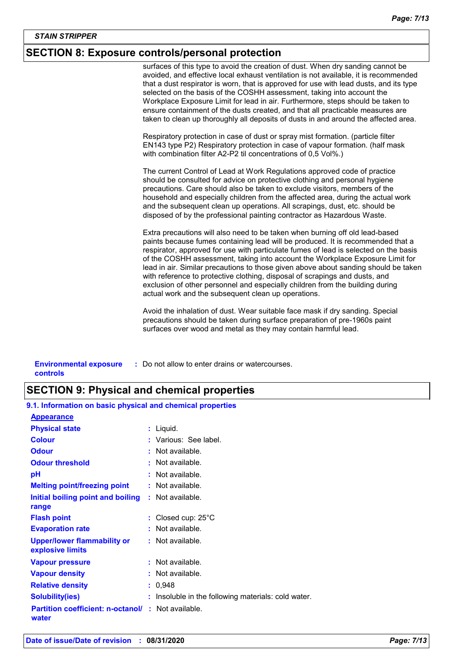# **SECTION 8: Exposure controls/personal protection**

surfaces of this type to avoid the creation of dust. When dry sanding cannot be avoided, and effective local exhaust ventilation is not available, it is recommended that a dust respirator is worn, that is approved for use with lead dusts, and its type selected on the basis of the COSHH assessment, taking into account the Workplace Exposure Limit for lead in air. Furthermore, steps should be taken to ensure containment of the dusts created, and that all practicable measures are taken to clean up thoroughly all deposits of dusts in and around the affected area.

Respiratory protection in case of dust or spray mist formation. (particle filter EN143 type P2) Respiratory protection in case of vapour formation. (half mask with combination filter A2-P2 til concentrations of 0,5 Vol%.)

The current Control of Lead at Work Regulations approved code of practice should be consulted for advice on protective clothing and personal hygiene precautions. Care should also be taken to exclude visitors, members of the household and especially children from the affected area, during the actual work and the subsequent clean up operations. All scrapings, dust, etc. should be disposed of by the professional painting contractor as Hazardous Waste.

Extra precautions will also need to be taken when burning off old lead-based paints because fumes containing lead will be produced. It is recommended that a respirator, approved for use with particulate fumes of lead is selected on the basis of the COSHH assessment, taking into account the Workplace Exposure Limit for lead in air. Similar precautions to those given above about sanding should be taken with reference to protective clothing, disposal of scrapings and dusts, and exclusion of other personnel and especially children from the building during actual work and the subsequent clean up operations.

Avoid the inhalation of dust. Wear suitable face mask if dry sanding. Special precautions should be taken during surface preparation of pre-1960s paint surfaces over wood and metal as they may contain harmful lead.

| <b>Environmental exposure</b> | : Do not allow to enter drains or watercourses. |
|-------------------------------|-------------------------------------------------|
| controls                      |                                                 |

# **SECTION 9: Physical and chemical properties**

| 9.1. Information on basic physical and chemical properties         |                                                   |
|--------------------------------------------------------------------|---------------------------------------------------|
| <b>Appearance</b>                                                  |                                                   |
| <b>Physical state</b>                                              | : Liquid.                                         |
| <b>Colour</b>                                                      | : Various: See label.                             |
| <b>Odour</b>                                                       | : Not available.                                  |
| <b>Odour threshold</b>                                             | $\cdot$ Not available.                            |
| рH                                                                 | $:$ Not available.                                |
| <b>Melting point/freezing point</b>                                | : Not available.                                  |
| Initial boiling point and boiling<br>range                         | : Not available.                                  |
| <b>Flash point</b>                                                 | : Closed cup: $25^{\circ}$ C                      |
| <b>Evaporation rate</b>                                            | : Not available.                                  |
| <b>Upper/lower flammability or</b><br>explosive limits             | : Not available.                                  |
| <b>Vapour pressure</b>                                             | : Not available.                                  |
| <b>Vapour density</b>                                              | : Not available.                                  |
| <b>Relative density</b>                                            | : 0,948                                           |
| <b>Solubility(ies)</b>                                             | Insoluble in the following materials: cold water. |
| <b>Partition coefficient: n-octanol/ : Not available.</b><br>water |                                                   |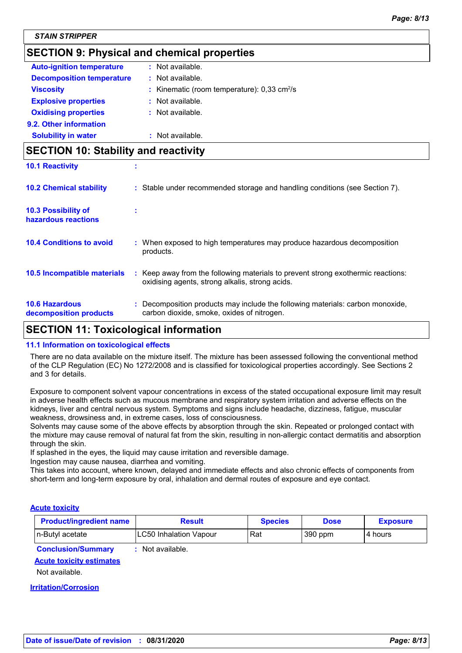# **SECTION 9: Physical and chemical properties**

| <b>Auto-ignition temperature</b> | : Not available.                                             |
|----------------------------------|--------------------------------------------------------------|
| <b>Decomposition temperature</b> | $:$ Not available.                                           |
| <b>Viscosity</b>                 | : Kinematic (room temperature): $0.33 \text{ cm}^2/\text{s}$ |
| <b>Explosive properties</b>      | : Not available.                                             |
| <b>Oxidising properties</b>      | $:$ Not available.                                           |
| 9.2. Other information           |                                                              |
| <b>Solubility in water</b>       | Not available.                                               |
|                                  |                                                              |

# **SECTION 10: Stability and reactivity**

| <b>10.1 Reactivity</b>                            |                                                                                                                                     |
|---------------------------------------------------|-------------------------------------------------------------------------------------------------------------------------------------|
| <b>10.2 Chemical stability</b>                    | : Stable under recommended storage and handling conditions (see Section 7).                                                         |
| <b>10.3 Possibility of</b><br>hazardous reactions |                                                                                                                                     |
| <b>10.4 Conditions to avoid</b>                   | : When exposed to high temperatures may produce hazardous decomposition<br>products.                                                |
| 10.5 Incompatible materials                       | : Keep away from the following materials to prevent strong exothermic reactions:<br>oxidising agents, strong alkalis, strong acids. |
| <b>10.6 Hazardous</b><br>decomposition products   | : Decomposition products may include the following materials: carbon monoxide,<br>carbon dioxide, smoke, oxides of nitrogen.        |

# **SECTION 11: Toxicological information**

### **11.1 Information on toxicological effects**

There are no data available on the mixture itself. The mixture has been assessed following the conventional method of the CLP Regulation (EC) No 1272/2008 and is classified for toxicological properties accordingly. See Sections 2 and 3 for details.

Exposure to component solvent vapour concentrations in excess of the stated occupational exposure limit may result in adverse health effects such as mucous membrane and respiratory system irritation and adverse effects on the kidneys, liver and central nervous system. Symptoms and signs include headache, dizziness, fatigue, muscular weakness, drowsiness and, in extreme cases, loss of consciousness.

Solvents may cause some of the above effects by absorption through the skin. Repeated or prolonged contact with the mixture may cause removal of natural fat from the skin, resulting in non-allergic contact dermatitis and absorption through the skin.

If splashed in the eyes, the liquid may cause irritation and reversible damage.

Ingestion may cause nausea, diarrhea and vomiting.

This takes into account, where known, delayed and immediate effects and also chronic effects of components from short-term and long-term exposure by oral, inhalation and dermal routes of exposure and eye contact.

### **Acute toxicity**

| <b>Product/ingredient name</b> | Result                 | <b>Species</b> | <b>Dose</b> | <b>Exposure</b> |
|--------------------------------|------------------------|----------------|-------------|-----------------|
| In-Butyl acetate               | LC50 Inhalation Vapour | Rat            | 390 ppm     | 4 hours         |

**Conclusion/Summary :** Not available.

# **Acute toxicity estimates**

Not available.

#### **Irritation/Corrosion**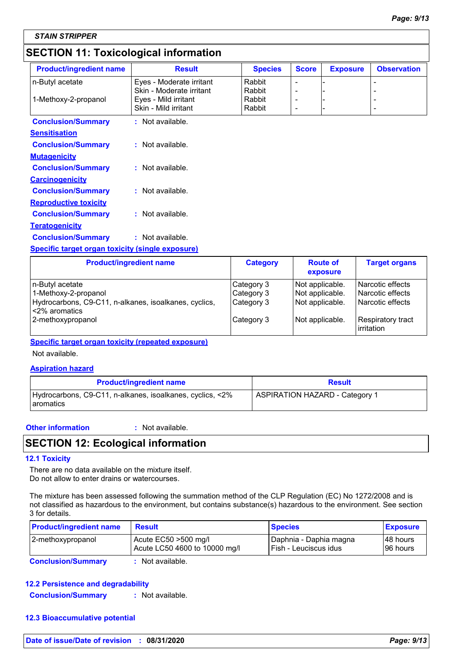# **SECTION 11: Toxicological information**

| <b>Product/ingredient name</b>                   | <b>Result</b>            | <b>Species</b> | <b>Score</b>                 | <b>Exposure</b> | <b>Observation</b> |
|--------------------------------------------------|--------------------------|----------------|------------------------------|-----------------|--------------------|
| n-Butyl acetate                                  | Eyes - Moderate irritant | Rabbit         | $\qquad \qquad \blacksquare$ |                 |                    |
|                                                  | Skin - Moderate irritant | Rabbit         |                              |                 |                    |
| 1-Methoxy-2-propanol                             | Eyes - Mild irritant     | Rabbit         |                              |                 |                    |
|                                                  | Skin - Mild irritant     | Rabbit         | $\overline{\phantom{a}}$     |                 |                    |
| <b>Conclusion/Summary</b>                        | : Not available.         |                |                              |                 |                    |
| <b>Sensitisation</b>                             |                          |                |                              |                 |                    |
| <b>Conclusion/Summary</b>                        | : Not available.         |                |                              |                 |                    |
| <b>Mutagenicity</b>                              |                          |                |                              |                 |                    |
| <b>Conclusion/Summary</b>                        | $:$ Not available.       |                |                              |                 |                    |
| <b>Carcinogenicity</b>                           |                          |                |                              |                 |                    |
| <b>Conclusion/Summary</b>                        | : Not available.         |                |                              |                 |                    |
| <b>Reproductive toxicity</b>                     |                          |                |                              |                 |                    |
| <b>Conclusion/Summary</b>                        | $:$ Not available.       |                |                              |                 |                    |
| <b>Teratogenicity</b>                            |                          |                |                              |                 |                    |
| <b>Conclusion/Summary</b>                        | : Not available.         |                |                              |                 |                    |
| Specific target organ toxicity (single exposure) |                          |                |                              |                 |                    |

| <b>Product/ingredient name</b>                                                                                      | <b>Category</b>                        | <b>Route of</b><br>exposure                           | <b>Target organs</b>                                                     |
|---------------------------------------------------------------------------------------------------------------------|----------------------------------------|-------------------------------------------------------|--------------------------------------------------------------------------|
| n-Butyl acetate<br>1-Methoxy-2-propanol<br>Hydrocarbons, C9-C11, n-alkanes, isoalkanes, cyclics,<br>l <2% aromatics | Category 3<br>Category 3<br>Category 3 | Not applicable.<br>Not applicable.<br>Not applicable. | l Narcotic effects<br><b>Narcotic effects</b><br><b>Narcotic effects</b> |
| 2-methoxypropanol                                                                                                   | Category 3                             | Not applicable.                                       | Respiratory tract<br>irritation                                          |

### **Specific target organ toxicity (repeated exposure)**

Not available.

#### **Aspiration hazard**

| <b>Product/ingredient name</b>                                          | <b>Result</b>                         |  |
|-------------------------------------------------------------------------|---------------------------------------|--|
| Hydrocarbons, C9-C11, n-alkanes, isoalkanes, cyclics, <2%<br>Laromatics | <b>ASPIRATION HAZARD - Category 1</b> |  |

#### **Other information :**

: Not available.

# **SECTION 12: Ecological information**

#### **12.1 Toxicity**

There are no data available on the mixture itself. Do not allow to enter drains or watercourses.

The mixture has been assessed following the summation method of the CLP Regulation (EC) No 1272/2008 and is not classified as hazardous to the environment, but contains substance(s) hazardous to the environment. See section 3 for details.

| <b>Product/ingredient name</b> | <b>Result</b>                                            | <b>Species</b>                                    | <b>Exposure</b>        |
|--------------------------------|----------------------------------------------------------|---------------------------------------------------|------------------------|
| 2-methoxypropanol              | Acute $EC50 > 500$ mg/l<br>Acute LC50 4600 to 10000 mg/l | Daphnia - Daphia magna<br>l Fish - Leuciscus idus | 148 hours<br>196 hours |
|                                |                                                          |                                                   |                        |

**Conclusion/Summary :** Not available.

### **12.2 Persistence and degradability**

**Conclusion/Summary :** Not available.

### **12.3 Bioaccumulative potential**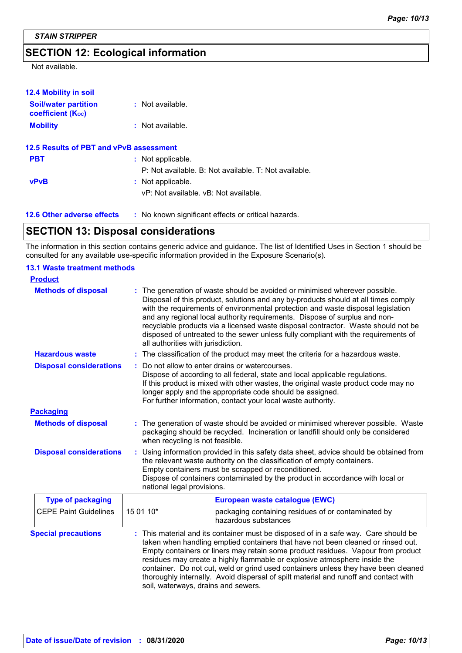# **SECTION 12: Ecological information**

Not available.

| <b>12.4 Mobility in soil</b>                            |                                                       |
|---------------------------------------------------------|-------------------------------------------------------|
| <b>Soil/water partition</b><br><b>coefficient (Koc)</b> | $:$ Not available.                                    |
| <b>Mobility</b>                                         | $:$ Not available.                                    |
| 12.5 Results of PBT and vPvB assessment                 |                                                       |
| <b>PBT</b>                                              | : Not applicable.                                     |
|                                                         | P: Not available. B: Not available. T: Not available. |
| <b>vPvB</b>                                             | : Not applicable.                                     |
|                                                         | vP: Not available, vB: Not available.                 |
| <b>12.6 Other adverse effects</b>                       | : No known significant effects or critical hazards.   |

# **SECTION 13: Disposal considerations**

The information in this section contains generic advice and guidance. The list of Identified Uses in Section 1 should be consulted for any available use-specific information provided in the Exposure Scenario(s).

#### **13.1 Waste treatment methods**

| <b>Product</b>                 |                                                                                                                                                                                                                                                                                                                                                                                                                                                                                                                                                               |  |  |
|--------------------------------|---------------------------------------------------------------------------------------------------------------------------------------------------------------------------------------------------------------------------------------------------------------------------------------------------------------------------------------------------------------------------------------------------------------------------------------------------------------------------------------------------------------------------------------------------------------|--|--|
| <b>Methods of disposal</b>     | : The generation of waste should be avoided or minimised wherever possible.<br>Disposal of this product, solutions and any by-products should at all times comply<br>with the requirements of environmental protection and waste disposal legislation<br>and any regional local authority requirements. Dispose of surplus and non-<br>recyclable products via a licensed waste disposal contractor. Waste should not be<br>disposed of untreated to the sewer unless fully compliant with the requirements of<br>all authorities with jurisdiction.          |  |  |
| <b>Hazardous waste</b>         | : The classification of the product may meet the criteria for a hazardous waste.                                                                                                                                                                                                                                                                                                                                                                                                                                                                              |  |  |
| <b>Disposal considerations</b> | Do not allow to enter drains or watercourses.<br>÷.<br>Dispose of according to all federal, state and local applicable regulations.<br>If this product is mixed with other wastes, the original waste product code may no<br>longer apply and the appropriate code should be assigned.<br>For further information, contact your local waste authority.                                                                                                                                                                                                        |  |  |
| <b>Packaging</b>               |                                                                                                                                                                                                                                                                                                                                                                                                                                                                                                                                                               |  |  |
| <b>Methods of disposal</b>     | : The generation of waste should be avoided or minimised wherever possible. Waste<br>packaging should be recycled. Incineration or landfill should only be considered<br>when recycling is not feasible.                                                                                                                                                                                                                                                                                                                                                      |  |  |
| <b>Disposal considerations</b> | : Using information provided in this safety data sheet, advice should be obtained from<br>the relevant waste authority on the classification of empty containers.<br>Empty containers must be scrapped or reconditioned.<br>Dispose of containers contaminated by the product in accordance with local or<br>national legal provisions.                                                                                                                                                                                                                       |  |  |
| <b>Type of packaging</b>       | European waste catalogue (EWC)                                                                                                                                                                                                                                                                                                                                                                                                                                                                                                                                |  |  |
| <b>CEPE Paint Guidelines</b>   | 15 01 10*<br>packaging containing residues of or contaminated by<br>hazardous substances                                                                                                                                                                                                                                                                                                                                                                                                                                                                      |  |  |
| <b>Special precautions</b>     | : This material and its container must be disposed of in a safe way. Care should be<br>taken when handling emptied containers that have not been cleaned or rinsed out.<br>Empty containers or liners may retain some product residues. Vapour from product<br>residues may create a highly flammable or explosive atmosphere inside the<br>container. Do not cut, weld or grind used containers unless they have been cleaned<br>thoroughly internally. Avoid dispersal of spilt material and runoff and contact with<br>soil, waterways, drains and sewers. |  |  |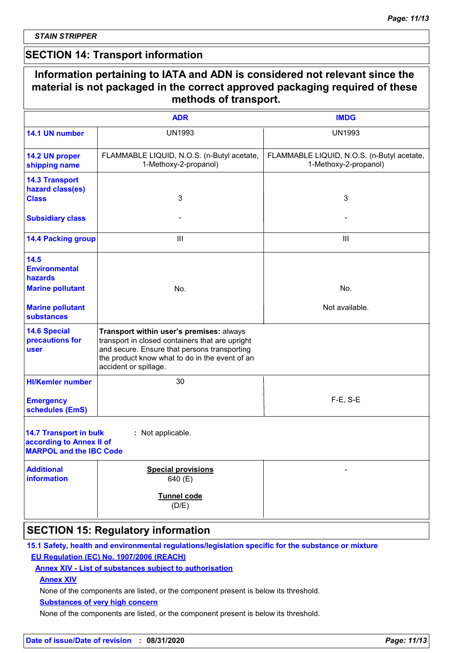# **SECTION 14: Transport information**

|                                                                                             | methods of transport.                                                                                                                                                                                                  |                                                                     |
|---------------------------------------------------------------------------------------------|------------------------------------------------------------------------------------------------------------------------------------------------------------------------------------------------------------------------|---------------------------------------------------------------------|
|                                                                                             | <b>ADR</b>                                                                                                                                                                                                             | <b>IMDG</b>                                                         |
| 14.1 UN number                                                                              | <b>UN1993</b>                                                                                                                                                                                                          | <b>UN1993</b>                                                       |
| 14.2 UN proper<br>shipping name                                                             | FLAMMABLE LIQUID, N.O.S. (n-Butyl acetate,<br>1-Methoxy-2-propanol)                                                                                                                                                    | FLAMMABLE LIQUID, N.O.S. (n-Butyl acetate,<br>1-Methoxy-2-propanol) |
| <b>14.3 Transport</b><br>hazard class(es)<br><b>Class</b>                                   | 3                                                                                                                                                                                                                      | 3                                                                   |
| <b>Subsidiary class</b>                                                                     |                                                                                                                                                                                                                        |                                                                     |
| <b>14.4 Packing group</b>                                                                   | $\mathbf{III}$                                                                                                                                                                                                         | $\mathbf{III}$                                                      |
| 14.5<br><b>Environmental</b><br>hazards                                                     |                                                                                                                                                                                                                        |                                                                     |
| <b>Marine pollutant</b>                                                                     | No.                                                                                                                                                                                                                    | No.                                                                 |
| <b>Marine pollutant</b><br><b>substances</b>                                                |                                                                                                                                                                                                                        | Not available.                                                      |
| <b>14.6 Special</b><br>precautions for<br><b>user</b>                                       | Transport within user's premises: always<br>transport in closed containers that are upright<br>and secure. Ensure that persons transporting<br>the product know what to do in the event of an<br>accident or spillage. |                                                                     |
| <b>HI/Kemler number</b>                                                                     | 30                                                                                                                                                                                                                     |                                                                     |
| <b>Emergency</b><br>schedules (EmS)                                                         |                                                                                                                                                                                                                        | $F-E$ , S-E                                                         |
| <b>14.7 Transport in bulk</b><br>according to Annex II of<br><b>MARPOL and the IBC Code</b> | : Not applicable.                                                                                                                                                                                                      |                                                                     |
| <b>Additional</b><br>information                                                            | <b>Special provisions</b><br>640 (E)                                                                                                                                                                                   |                                                                     |
|                                                                                             | Tunnel code<br>(D/E)                                                                                                                                                                                                   |                                                                     |

# **SECTION 15: Regulatory information**

### **15.1 Safety, health and environmental regulations/legislation specific for the substance or mixture EU Regulation (EC) No. 1907/2006 (REACH)**

### **Annex XIV - List of substances subject to authorisation**

### **Annex XIV**

None of the components are listed, or the component present is below its threshold.

#### **Substances of very high concern**

None of the components are listed, or the component present is below its threshold.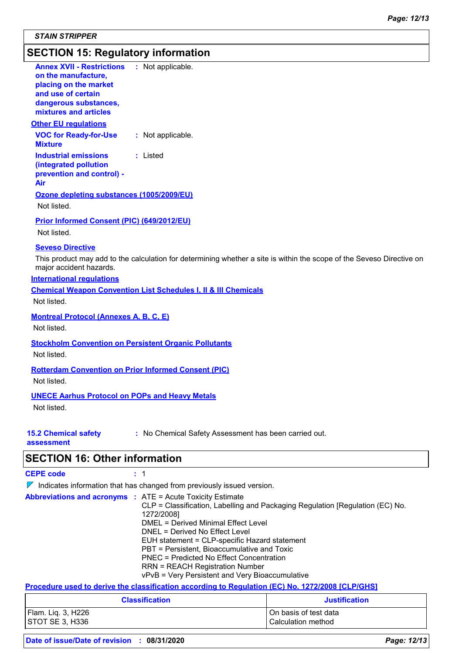# **SECTION 15: Regulatory information**

| <b>SECTION 16: Other information</b>                                                                                 |                                                                                                                       |
|----------------------------------------------------------------------------------------------------------------------|-----------------------------------------------------------------------------------------------------------------------|
| <b>15.2 Chemical safety</b><br>assessment                                                                            | : No Chemical Safety Assessment has been carried out.                                                                 |
| <b>UNECE Aarhus Protocol on POPs and Heavy Metals</b><br>Not listed.                                                 |                                                                                                                       |
| Not listed.                                                                                                          |                                                                                                                       |
|                                                                                                                      | <b>Rotterdam Convention on Prior Informed Consent (PIC)</b>                                                           |
| Not listed.                                                                                                          | <b>Stockholm Convention on Persistent Organic Pollutants</b>                                                          |
| <b>Montreal Protocol (Annexes A, B, C, E)</b><br>Not listed.                                                         |                                                                                                                       |
| Not listed.                                                                                                          |                                                                                                                       |
| <b>International requlations</b>                                                                                     | <b>Chemical Weapon Convention List Schedules I, II &amp; III Chemicals</b>                                            |
| <b>Seveso Directive</b><br>major accident hazards.                                                                   | This product may add to the calculation for determining whether a site is within the scope of the Seveso Directive on |
| Prior Informed Consent (PIC) (649/2012/EU)<br>Not listed.                                                            |                                                                                                                       |
| Ozone depleting substances (1005/2009/EU)<br>Not listed.                                                             |                                                                                                                       |
| <b>Industrial emissions</b><br>(integrated pollution<br>prevention and control) -<br>Air                             | : Listed                                                                                                              |
| <b>VOC for Ready-for-Use</b><br><b>Mixture</b>                                                                       | : Not applicable.                                                                                                     |
| <b>Other EU regulations</b>                                                                                          |                                                                                                                       |
| on the manufacture,<br>placing on the market<br>and use of certain<br>dangerous substances,<br>mixtures and articles |                                                                                                                       |
| <b>Annex XVII - Restrictions</b>                                                                                     | : Not applicable.                                                                                                     |

# **SECTION 16: Other information**

| <b>CEPE code</b>                                                       |  |                                                                                                                                                                                                                                                                                                                                                                                                               |  |  |  |
|------------------------------------------------------------------------|--|---------------------------------------------------------------------------------------------------------------------------------------------------------------------------------------------------------------------------------------------------------------------------------------------------------------------------------------------------------------------------------------------------------------|--|--|--|
| Indicates information that has changed from previously issued version. |  |                                                                                                                                                                                                                                                                                                                                                                                                               |  |  |  |
| <b>Abbreviations and acronyms : ATE = Acute Toxicity Estimate</b>      |  | CLP = Classification, Labelling and Packaging Regulation [Regulation (EC) No.<br>1272/2008]<br>DMEL = Derived Minimal Effect Level<br>DNEL = Derived No Effect Level<br>EUH statement = CLP-specific Hazard statement<br>PBT = Persistent, Bioaccumulative and Toxic<br>PNEC = Predicted No Effect Concentration<br><b>RRN = REACH Registration Number</b><br>vPvB = Very Persistent and Very Bioaccumulative |  |  |  |
|                                                                        |  | Procedure used to derive the classification according to Regulation (EC) No. 1272/2008 [CLP/GHS]                                                                                                                                                                                                                                                                                                              |  |  |  |

| <b>Classification</b> | <b>Justification</b>  |
|-----------------------|-----------------------|
| Flam. Liq. 3, H226    | On basis of test data |
| STOT SE 3, H336       | Calculation method    |